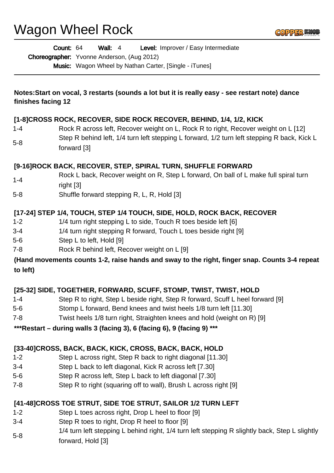Wagon Wheel Rock

|                    | Level: Improver / Easy Intermediate<br>Count: 64<br><b>Wall: 4</b><br><b>Choreographer:</b> Yvonne Anderson, (Aug 2012) |
|--------------------|-------------------------------------------------------------------------------------------------------------------------|
|                    | Music: Wagon Wheel by Nathan Carter, [Single - iTunes]                                                                  |
| finishes facing 12 | Notes:Start on vocal, 3 restarts (sounds a lot but it is really easy - see restart note) dance                          |
|                    | [1-8]CROSS ROCK, RECOVER, SIDE ROCK RECOVER, BEHIND, 1/4, 1/2, KICK                                                     |
| $1 - 4$            | Rock R across left, Recover weight on L, Rock R to right, Recover weight on L [12]                                      |
| $5 - 8$            | Step R behind left, 1/4 turn left stepping L forward, 1/2 turn left stepping R back, Kick L<br>forward [3]              |
|                    | [9-16]ROCK BACK, RECOVER, STEP, SPIRAL TURN, SHUFFLE FORWARD                                                            |
| $1 - 4$            | Rock L back, Recover weight on R, Step L forward, On ball of L make full spiral turn<br>right [3]                       |
| $5 - 8$            | Shuffle forward stepping R, L, R, Hold [3]                                                                              |
|                    | [17-24] STEP 1/4, TOUCH, STEP 1/4 TOUCH, SIDE, HOLD, ROCK BACK, RECOVER                                                 |
| $1 - 2$            | 1/4 turn right stepping L to side, Touch R toes beside left [6]                                                         |
| $3 - 4$            | 1/4 turn right stepping R forward, Touch L toes beside right [9]                                                        |
| $5-6$              | Step L to left, Hold [9]                                                                                                |
| $7 - 8$            | Rock R behind left, Recover weight on L [9]                                                                             |
| to left)           | (Hand movements counts 1-2, raise hands and sway to the right, finger snap. Counts 3-4 repeat                           |
|                    | [25-32] SIDE, TOGETHER, FORWARD, SCUFF, STOMP, TWIST, TWIST, HOLD                                                       |
| $1 - 4$            | Step R to right, Step L beside right, Step R forward, Scuff L heel forward [9]                                          |
| $5-6$              | Stomp L forward, Bend knees and twist heels 1/8 turn left [11.30]                                                       |
| $7 - 8$            | Twist heels 1/8 turn right, Straighten knees and hold (weight on R) [9]                                                 |
|                    | *** Restart - during walls 3 (facing 3), 6 (facing 6), 9 (facing 9) ***                                                 |
|                    | [33-40]CROSS, BACK, BACK, KICK, CROSS, BACK, BACK, HOLD                                                                 |
| $1 - 2$            | Step L across right, Step R back to right diagonal [11.30]                                                              |
| $3 - 4$            | Step L back to left diagonal, Kick R across left [7.30]                                                                 |
| $5-6$              | Step R across left, Step L back to left diagonal [7.30]                                                                 |
| $7 - 8$            | Step R to right (squaring off to wall), Brush L across right [9]                                                        |
|                    |                                                                                                                         |

# **[41-48]CROSS TOE STRUT, SIDE TOE STRUT, SAILOR 1/2 TURN LEFT**

- 1-2 Step L toes across right, Drop L heel to floor [9]
- 3-4 Step R toes to right, Drop R heel to floor [9]
- 5-8 1/4 turn left stepping L behind right, 1/4 turn left stepping R slightly back, Step L slightly forward, Hold [3]